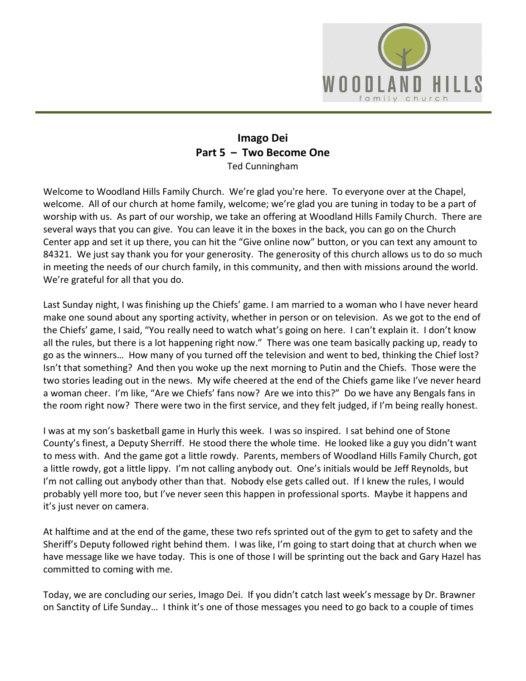

## **Imago Dei Part 5 – Two Become One** Ted Cunningham

Welcome to Woodland Hills Family Church. We're glad you're here. To everyone over at the Chapel, welcome. All of our church at home family, welcome; we're glad you are tuning in today to be a part of worship with us. As part of our worship, we take an offering at Woodland Hills Family Church. There are several ways that you can give. You can leave it in the boxes in the back, you can go on the Church Center app and set it up there, you can hit the "Give online now" button, or you can text any amount to 84321. We just say thank you for your generosity. The generosity of this church allows us to do so much in meeting the needs of our church family, in this community, and then with missions around the world. We're grateful for all that you do.

Last Sunday night, I was finishing up the Chiefs' game. I am married to a woman who I have never heard make one sound about any sporting activity, whether in person or on television. As we got to the end of the Chiefs' game, I said, "You really need to watch what's going on here. I can't explain it. I don't know all the rules, but there is a lot happening right now." There was one team basically packing up, ready to go as the winners… How many of you turned off the television and went to bed, thinking the Chief lost? Isn't that something? And then you woke up the next morning to Putin and the Chiefs. Those were the two stories leading out in the news. My wife cheered at the end of the Chiefs game like I've never heard a woman cheer. I'm like, "Are we Chiefs' fans now? Are we into this?" Do we have any Bengals fans in the room right now? There were two in the first service, and they felt judged, if I'm being really honest.

I was at my son's basketball game in Hurly this week. I was so inspired. I sat behind one of Stone County's finest, a Deputy Sherriff. He stood there the whole time. He looked like a guy you didn't want to mess with. And the game got a little rowdy. Parents, members of Woodland Hills Family Church, got a little rowdy, got a little lippy. I'm not calling anybody out. One's initials would be Jeff Reynolds, but I'm not calling out anybody other than that. Nobody else gets called out. If I knew the rules, I would probably yell more too, but I've never seen this happen in professional sports. Maybe it happens and it's just never on camera.

At halftime and at the end of the game, these two refs sprinted out of the gym to get to safety and the Sheriff's Deputy followed right behind them. I was like, I'm going to start doing that at church when we have message like we have today. This is one of those I will be sprinting out the back and Gary Hazel has committed to coming with me.

Today, we are concluding our series, Imago Dei. If you didn't catch last week's message by Dr. Brawner on Sanctity of Life Sunday… I think it's one of those messages you need to go back to a couple of times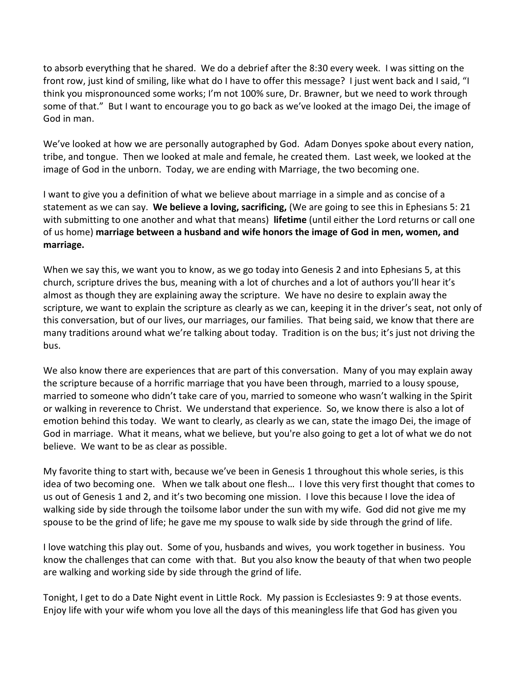to absorb everything that he shared. We do a debrief after the 8:30 every week. I was sitting on the front row, just kind of smiling, like what do I have to offer this message? I just went back and I said, "I think you mispronounced some works; I'm not 100% sure, Dr. Brawner, but we need to work through some of that." But I want to encourage you to go back as we've looked at the imago Dei, the image of God in man.

We've looked at how we are personally autographed by God. Adam Donyes spoke about every nation, tribe, and tongue. Then we looked at male and female, he created them. Last week, we looked at the image of God in the unborn. Today, we are ending with Marriage, the two becoming one.

I want to give you a definition of what we believe about marriage in a simple and as concise of a statement as we can say. **We believe a loving, sacrificing,** (We are going to see this in Ephesians 5: 21 with submitting to one another and what that means) **lifetime** (until either the Lord returns or call one of us home) **marriage between a husband and wife honors the image of God in men, women, and marriage.**

When we say this, we want you to know, as we go today into Genesis 2 and into Ephesians 5, at this church, scripture drives the bus, meaning with a lot of churches and a lot of authors you'll hear it's almost as though they are explaining away the scripture. We have no desire to explain away the scripture, we want to explain the scripture as clearly as we can, keeping it in the driver's seat, not only of this conversation, but of our lives, our marriages, our families. That being said, we know that there are many traditions around what we're talking about today. Tradition is on the bus; it's just not driving the bus.

We also know there are experiences that are part of this conversation. Many of you may explain away the scripture because of a horrific marriage that you have been through, married to a lousy spouse, married to someone who didn't take care of you, married to someone who wasn't walking in the Spirit or walking in reverence to Christ. We understand that experience. So, we know there is also a lot of emotion behind this today. We want to clearly, as clearly as we can, state the imago Dei, the image of God in marriage. What it means, what we believe, but you're also going to get a lot of what we do not believe. We want to be as clear as possible.

My favorite thing to start with, because we've been in Genesis 1 throughout this whole series, is this idea of two becoming one. When we talk about one flesh… I love this very first thought that comes to us out of Genesis 1 and 2, and it's two becoming one mission. I love this because I love the idea of walking side by side through the toilsome labor under the sun with my wife. God did not give me my spouse to be the grind of life; he gave me my spouse to walk side by side through the grind of life.

I love watching this play out. Some of you, husbands and wives, you work together in business. You know the challenges that can come with that. But you also know the beauty of that when two people are walking and working side by side through the grind of life.

Tonight, I get to do a Date Night event in Little Rock. My passion is Ecclesiastes 9: 9 at those events. Enjoy life with your wife whom you love all the days of this meaningless life that God has given you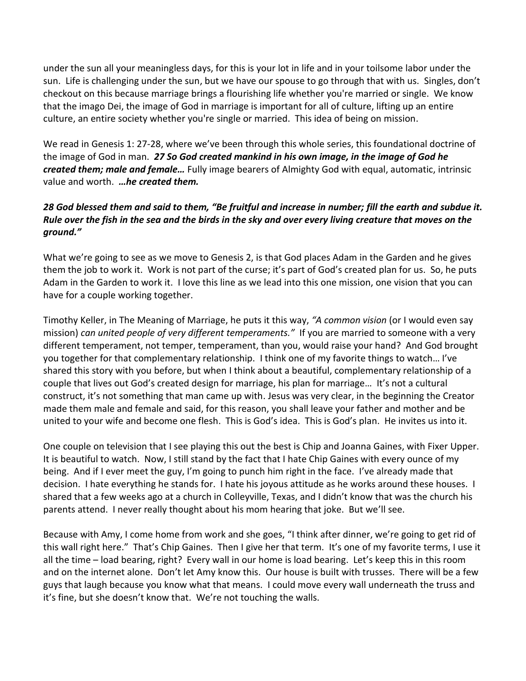under the sun all your meaningless days, for this is your lot in life and in your toilsome labor under the sun. Life is challenging under the sun, but we have our spouse to go through that with us. Singles, don't checkout on this because marriage brings a flourishing life whether you're married or single. We know that the imago Dei, the image of God in marriage is important for all of culture, lifting up an entire culture, an entire society whether you're single or married. This idea of being on mission.

We read in Genesis 1: 27-28, where we've been through this whole series, this foundational doctrine of the image of God in man. *27 So God created mankind in his own image, in the image of God he created them; male and female…* Fully image bearers of Almighty God with equal, automatic, intrinsic value and worth. *…he created them.*

## *28 God blessed them and said to them, "Be fruitful and increase in number; fill the earth and subdue it. Rule over the fish in the sea and the birds in the sky and over every living creature that moves on the ground."*

What we're going to see as we move to Genesis 2, is that God places Adam in the Garden and he gives them the job to work it. Work is not part of the curse; it's part of God's created plan for us. So, he puts Adam in the Garden to work it. I love this line as we lead into this one mission, one vision that you can have for a couple working together.

Timothy Keller, in The Meaning of Marriage, he puts it this way, *"A common vision* (or I would even say mission) *can united people of very different temperaments."*If you are married to someone with a very different temperament, not temper, temperament, than you, would raise your hand? And God brought you together for that complementary relationship. I think one of my favorite things to watch… I've shared this story with you before, but when I think about a beautiful, complementary relationship of a couple that lives out God's created design for marriage, his plan for marriage… It's not a cultural construct, it's not something that man came up with. Jesus was very clear, in the beginning the Creator made them male and female and said, for this reason, you shall leave your father and mother and be united to your wife and become one flesh. This is God's idea. This is God's plan. He invites us into it.

One couple on television that I see playing this out the best is Chip and Joanna Gaines, with Fixer Upper. It is beautiful to watch. Now, I still stand by the fact that I hate Chip Gaines with every ounce of my being. And if I ever meet the guy, I'm going to punch him right in the face. I've already made that decision. I hate everything he stands for. I hate his joyous attitude as he works around these houses. I shared that a few weeks ago at a church in Colleyville, Texas, and I didn't know that was the church his parents attend. I never really thought about his mom hearing that joke. But we'll see.

Because with Amy, I come home from work and she goes, "I think after dinner, we're going to get rid of this wall right here." That's Chip Gaines. Then I give her that term. It's one of my favorite terms, I use it all the time – load bearing, right? Every wall in our home is load bearing. Let's keep this in this room and on the internet alone. Don't let Amy know this. Our house is built with trusses. There will be a few guys that laugh because you know what that means. I could move every wall underneath the truss and it's fine, but she doesn't know that. We're not touching the walls.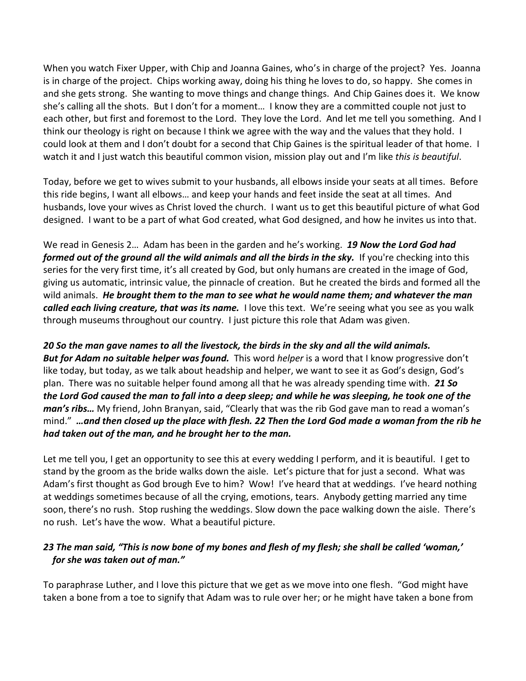When you watch Fixer Upper, with Chip and Joanna Gaines, who's in charge of the project? Yes. Joanna is in charge of the project. Chips working away, doing his thing he loves to do, so happy. She comes in and she gets strong. She wanting to move things and change things. And Chip Gaines does it. We know she's calling all the shots. But I don't for a moment… I know they are a committed couple not just to each other, but first and foremost to the Lord. They love the Lord. And let me tell you something. And I think our theology is right on because I think we agree with the way and the values that they hold. I could look at them and I don't doubt for a second that Chip Gaines is the spiritual leader of that home. I watch it and I just watch this beautiful common vision, mission play out and I'm like *this is beautiful*.

Today, before we get to wives submit to your husbands, all elbows inside your seats at all times. Before this ride begins, I want all elbows… and keep your hands and feet inside the seat at all times. And husbands, love your wives as Christ loved the church. I want us to get this beautiful picture of what God designed. I want to be a part of what God created, what God designed, and how he invites us into that.

We read in Genesis 2… Adam has been in the garden and he's working. *19 Now the Lord God had formed out of the ground all the wild animals and all the birds in the sky.* If you're checking into this series for the very first time, it's all created by God, but only humans are created in the image of God, giving us automatic, intrinsic value, the pinnacle of creation. But he created the birds and formed all the wild animals. *He brought them to the man to see what he would name them; and whatever the man called each living creature, that was its name.* I love this text. We're seeing what you see as you walk through museums throughout our country. I just picture this role that Adam was given.

## *20 So the man gave names to all the livestock, the birds in the sky and all the wild animals.*

*But for Adam no suitable helper was found.* This word *helper* is a word that I know progressive don't like today, but today, as we talk about headship and helper, we want to see it as God's design, God's plan. There was no suitable helper found among all that he was already spending time with. *21 So the Lord God caused the man to fall into a deep sleep; and while he was sleeping, he took one of the man's ribs…* My friend, John Branyan, said, "Clearly that was the rib God gave man to read a woman's mind." *…and then closed up the place with flesh. 22 Then the Lord God made a woman from the rib he had taken out of the man, and he brought her to the man.*

Let me tell you, I get an opportunity to see this at every wedding I perform, and it is beautiful. I get to stand by the groom as the bride walks down the aisle. Let's picture that for just a second. What was Adam's first thought as God brough Eve to him? Wow! I've heard that at weddings. I've heard nothing at weddings sometimes because of all the crying, emotions, tears. Anybody getting married any time soon, there's no rush. Stop rushing the weddings. Slow down the pace walking down the aisle. There's no rush. Let's have the wow. What a beautiful picture.

## *23 The man said, "This is now bone of my bones and flesh of my flesh; she shall be called 'woman,' for she was taken out of man."*

To paraphrase Luther, and I love this picture that we get as we move into one flesh. "God might have taken a bone from a toe to signify that Adam was to rule over her; or he might have taken a bone from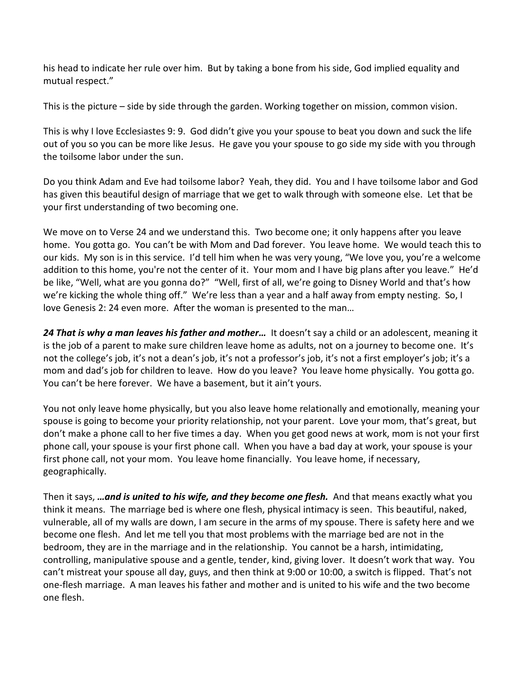his head to indicate her rule over him. But by taking a bone from his side, God implied equality and mutual respect."

This is the picture – side by side through the garden. Working together on mission, common vision.

This is why I love Ecclesiastes 9: 9. God didn't give you your spouse to beat you down and suck the life out of you so you can be more like Jesus. He gave you your spouse to go side my side with you through the toilsome labor under the sun.

Do you think Adam and Eve had toilsome labor? Yeah, they did. You and I have toilsome labor and God has given this beautiful design of marriage that we get to walk through with someone else. Let that be your first understanding of two becoming one.

We move on to Verse 24 and we understand this. Two become one; it only happens after you leave home. You gotta go. You can't be with Mom and Dad forever. You leave home. We would teach this to our kids. My son is in this service. I'd tell him when he was very young, "We love you, you're a welcome addition to this home, you're not the center of it. Your mom and I have big plans after you leave." He'd be like, "Well, what are you gonna do?" "Well, first of all, we're going to Disney World and that's how we're kicking the whole thing off." We're less than a year and a half away from empty nesting. So, I love Genesis 2: 24 even more. After the woman is presented to the man…

*24 That is why a man leaves his father and mother…* It doesn't say a child or an adolescent, meaning it is the job of a parent to make sure children leave home as adults, not on a journey to become one. It's not the college's job, it's not a dean's job, it's not a professor's job, it's not a first employer's job; it's a mom and dad's job for children to leave. How do you leave? You leave home physically. You gotta go. You can't be here forever. We have a basement, but it ain't yours.

You not only leave home physically, but you also leave home relationally and emotionally, meaning your spouse is going to become your priority relationship, not your parent. Love your mom, that's great, but don't make a phone call to her five times a day. When you get good news at work, mom is not your first phone call, your spouse is your first phone call. When you have a bad day at work, your spouse is your first phone call, not your mom. You leave home financially. You leave home, if necessary, geographically.

Then it says, *…and is united to his wife, and they become one flesh.* And that means exactly what you think it means. The marriage bed is where one flesh, physical intimacy is seen. This beautiful, naked, vulnerable, all of my walls are down, I am secure in the arms of my spouse. There is safety here and we become one flesh. And let me tell you that most problems with the marriage bed are not in the bedroom, they are in the marriage and in the relationship. You cannot be a harsh, intimidating, controlling, manipulative spouse and a gentle, tender, kind, giving lover. It doesn't work that way. You can't mistreat your spouse all day, guys, and then think at 9:00 or 10:00, a switch is flipped. That's not one-flesh marriage. A man leaves his father and mother and is united to his wife and the two become one flesh.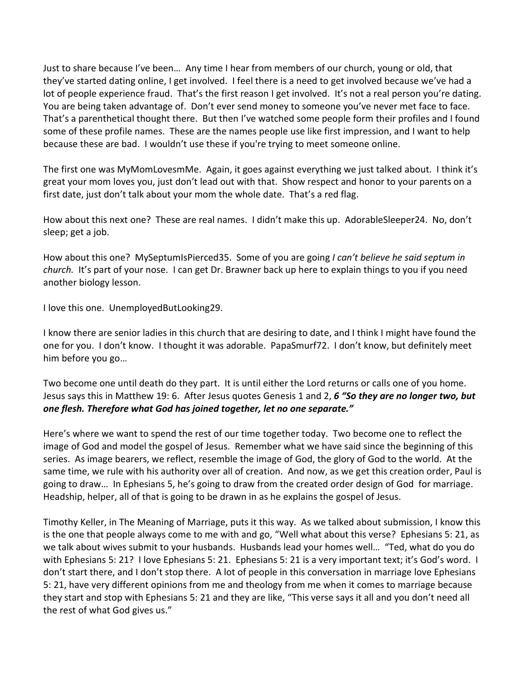Just to share because I've been… Any time I hear from members of our church, young or old, that they've started dating online, I get involved. I feel there is a need to get involved because we've had a lot of people experience fraud. That's the first reason I get involved. It's not a real person you're dating. You are being taken advantage of. Don't ever send money to someone you've never met face to face. That's a parenthetical thought there. But then I've watched some people form their profiles and I found some of these profile names. These are the names people use like first impression, and I want to help because these are bad. I wouldn't use these if you're trying to meet someone online.

The first one was MyMomLovesmMe. Again, it goes against everything we just talked about. I think it's great your mom loves you, just don't lead out with that. Show respect and honor to your parents on a first date, just don't talk about your mom the whole date. That's a red flag.

How about this next one? These are real names. I didn't make this up. AdorableSleeper24. No, don't sleep; get a job.

How about this one? MySeptumIsPierced35. Some of you are going *I can't believe he said septum in church.* It's part of your nose. I can get Dr. Brawner back up here to explain things to you if you need another biology lesson.

I love this one. UnemployedButLooking29.

I know there are senior ladies in this church that are desiring to date, and I think I might have found the one for you. I don't know. I thought it was adorable. PapaSmurf72. I don't know, but definitely meet him before you go…

Two become one until death do they part. It is until either the Lord returns or calls one of you home. Jesus says this in Matthew 19: 6. After Jesus quotes Genesis 1 and 2, *6 "So they are no longer two, but one flesh. Therefore what God has joined together, let no one separate."*

Here's where we want to spend the rest of our time together today. Two become one to reflect the image of God and model the gospel of Jesus. Remember what we have said since the beginning of this series. As image bearers, we reflect, resemble the image of God, the glory of God to the world. At the same time, we rule with his authority over all of creation. And now, as we get this creation order, Paul is going to draw… In Ephesians 5, he's going to draw from the created order design of God for marriage. Headship, helper, all of that is going to be drawn in as he explains the gospel of Jesus.

Timothy Keller, in The Meaning of Marriage, puts it this way. As we talked about submission, I know this is the one that people always come to me with and go, "Well what about this verse? Ephesians 5: 21, as we talk about wives submit to your husbands. Husbands lead your homes well… "Ted, what do you do with Ephesians 5: 21? I love Ephesians 5: 21. Ephesians 5: 21 is a very important text; it's God's word. I don't start there, and I don't stop there. A lot of people in this conversation in marriage love Ephesians 5: 21, have very different opinions from me and theology from me when it comes to marriage because they start and stop with Ephesians 5: 21 and they are like, "This verse says it all and you don't need all the rest of what God gives us."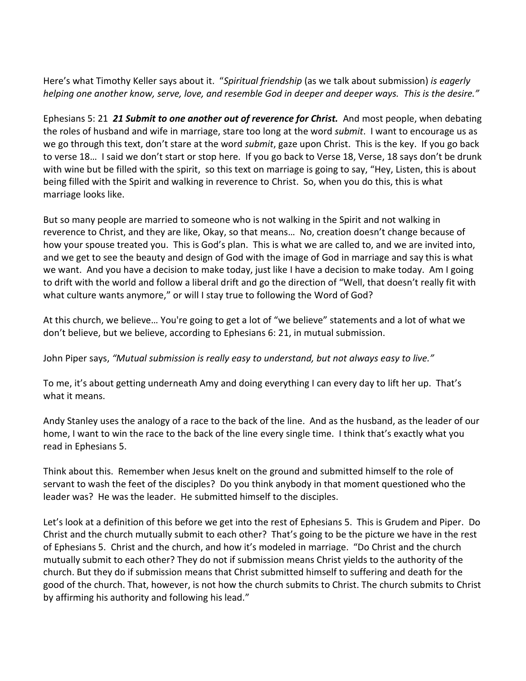Here's what Timothy Keller says about it. "*Spiritual friendship* (as we talk about submission) *is eagerly helping one another know, serve, love, and resemble God in deeper and deeper ways. This is the desire."* 

Ephesians 5: 21 *21 Submit to one another out of reverence for Christ.* And most people, when debating the roles of husband and wife in marriage, stare too long at the word *submit*. I want to encourage us as we go through this text, don't stare at the word *submit*, gaze upon Christ. This is the key. If you go back to verse 18… I said we don't start or stop here. If you go back to Verse 18, Verse, 18 says don't be drunk with wine but be filled with the spirit, so this text on marriage is going to say, "Hey, Listen, this is about being filled with the Spirit and walking in reverence to Christ. So, when you do this, this is what marriage looks like.

But so many people are married to someone who is not walking in the Spirit and not walking in reverence to Christ, and they are like, Okay, so that means… No, creation doesn't change because of how your spouse treated you. This is God's plan. This is what we are called to, and we are invited into, and we get to see the beauty and design of God with the image of God in marriage and say this is what we want. And you have a decision to make today, just like I have a decision to make today. Am I going to drift with the world and follow a liberal drift and go the direction of "Well, that doesn't really fit with what culture wants anymore," or will I stay true to following the Word of God?

At this church, we believe… You're going to get a lot of "we believe" statements and a lot of what we don't believe, but we believe, according to Ephesians 6: 21, in mutual submission.

John Piper says, *"Mutual submission is really easy to understand, but not always easy to live."*

To me, it's about getting underneath Amy and doing everything I can every day to lift her up. That's what it means.

Andy Stanley uses the analogy of a race to the back of the line. And as the husband, as the leader of our home, I want to win the race to the back of the line every single time. I think that's exactly what you read in Ephesians 5.

Think about this. Remember when Jesus knelt on the ground and submitted himself to the role of servant to wash the feet of the disciples? Do you think anybody in that moment questioned who the leader was? He was the leader. He submitted himself to the disciples.

Let's look at a definition of this before we get into the rest of Ephesians 5. This is Grudem and Piper. Do Christ and the church mutually submit to each other? That's going to be the picture we have in the rest of Ephesians 5. Christ and the church, and how it's modeled in marriage. "Do Christ and the church mutually submit to each other? They do not if submission means Christ yields to the authority of the church. But they do if submission means that Christ submitted himself to suffering and death for the good of the church. That, however, is not how the church submits to Christ. The church submits to Christ by affirming his authority and following his lead."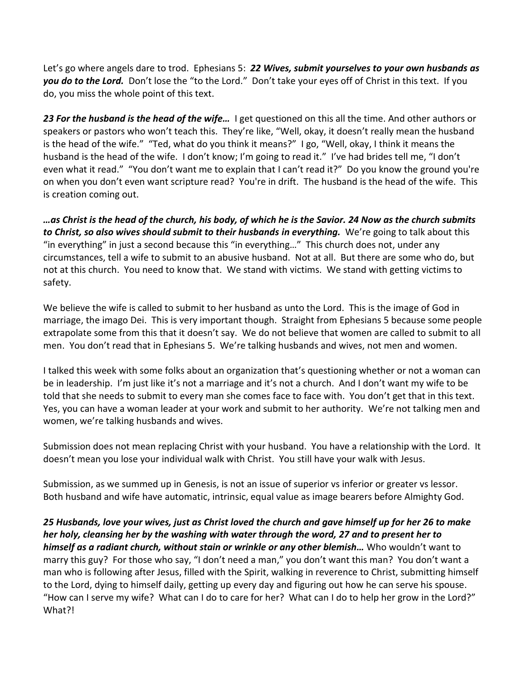Let's go where angels dare to trod. Ephesians 5: *22 Wives, submit yourselves to your own husbands as you do to the Lord.* Don't lose the "to the Lord." Don't take your eyes off of Christ in this text. If you do, you miss the whole point of this text.

*23 For the husband is the head of the wife…* I get questioned on this all the time. And other authors or speakers or pastors who won't teach this. They're like, "Well, okay, it doesn't really mean the husband is the head of the wife." "Ted, what do you think it means?" I go, "Well, okay, I think it means the husband is the head of the wife. I don't know; I'm going to read it." I've had brides tell me, "I don't even what it read." "You don't want me to explain that I can't read it?" Do you know the ground you're on when you don't even want scripture read? You're in drift. The husband is the head of the wife. This is creation coming out.

*…as Christ is the head of the church, his body, of which he is the Savior. 24 Now as the church submits to Christ, so also wives should submit to their husbands in everything.* We're going to talk about this "in everything" in just a second because this "in everything…" This church does not, under any circumstances, tell a wife to submit to an abusive husband. Not at all. But there are some who do, but not at this church. You need to know that. We stand with victims. We stand with getting victims to safety.

We believe the wife is called to submit to her husband as unto the Lord. This is the image of God in marriage, the imago Dei. This is very important though. Straight from Ephesians 5 because some people extrapolate some from this that it doesn't say. We do not believe that women are called to submit to all men. You don't read that in Ephesians 5. We're talking husbands and wives, not men and women.

I talked this week with some folks about an organization that's questioning whether or not a woman can be in leadership. I'm just like it's not a marriage and it's not a church. And I don't want my wife to be told that she needs to submit to every man she comes face to face with. You don't get that in this text. Yes, you can have a woman leader at your work and submit to her authority. We're not talking men and women, we're talking husbands and wives.

Submission does not mean replacing Christ with your husband. You have a relationship with the Lord. It doesn't mean you lose your individual walk with Christ. You still have your walk with Jesus.

Submission, as we summed up in Genesis, is not an issue of superior vs inferior or greater vs lessor. Both husband and wife have automatic, intrinsic, equal value as image bearers before Almighty God.

*25 Husbands, love your wives, just as Christ loved the church and gave himself up for her 26 to make her holy, cleansing her by the washing with water through the word, 27 and to present her to himself as a radiant church, without stain or wrinkle or any other blemish…* Who wouldn't want to marry this guy? For those who say, "I don't need a man," you don't want this man? You don't want a man who is following after Jesus, filled with the Spirit, walking in reverence to Christ, submitting himself to the Lord, dying to himself daily, getting up every day and figuring out how he can serve his spouse. "How can I serve my wife? What can I do to care for her? What can I do to help her grow in the Lord?" What?!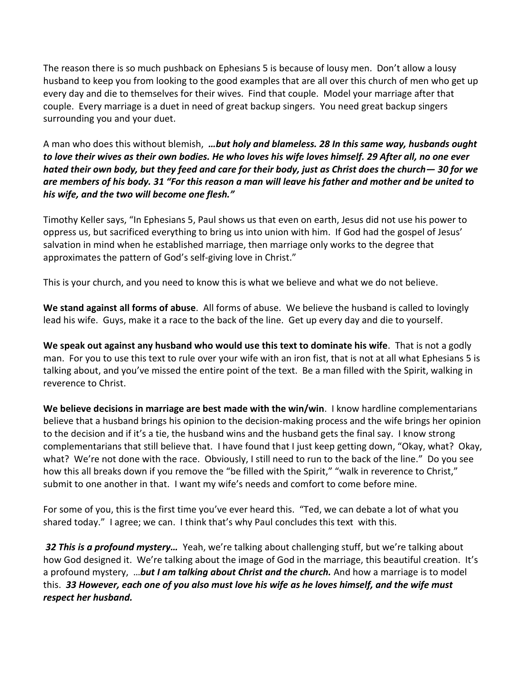The reason there is so much pushback on Ephesians 5 is because of lousy men. Don't allow a lousy husband to keep you from looking to the good examples that are all over this church of men who get up every day and die to themselves for their wives. Find that couple. Model your marriage after that couple. Every marriage is a duet in need of great backup singers. You need great backup singers surrounding you and your duet.

A man who does this without blemish, *…but holy and blameless. 28 In this same way, husbands ought to love their wives as their own bodies. He who loves his wife loves himself. 29 After all, no one ever hated their own body, but they feed and care for their body, just as Christ does the church— 30 for we are members of his body. 31 "For this reason a man will leave his father and mother and be united to his wife, and the two will become one flesh."*

Timothy Keller says, "In Ephesians 5, Paul shows us that even on earth, Jesus did not use his power to oppress us, but sacrificed everything to bring us into union with him. If God had the gospel of Jesus' salvation in mind when he established marriage, then marriage only works to the degree that approximates the pattern of God's self-giving love in Christ."

This is your church, and you need to know this is what we believe and what we do not believe.

**We stand against all forms of abuse**. All forms of abuse. We believe the husband is called to lovingly lead his wife. Guys, make it a race to the back of the line. Get up every day and die to yourself.

**We speak out against any husband who would use this text to dominate his wife**. That is not a godly man. For you to use this text to rule over your wife with an iron fist, that is not at all what Ephesians 5 is talking about, and you've missed the entire point of the text. Be a man filled with the Spirit, walking in reverence to Christ.

**We believe decisions in marriage are best made with the win/win**. I know hardline complementarians believe that a husband brings his opinion to the decision-making process and the wife brings her opinion to the decision and if it's a tie, the husband wins and the husband gets the final say. I know strong complementarians that still believe that. I have found that I just keep getting down, "Okay, what? Okay, what? We're not done with the race. Obviously, I still need to run to the back of the line." Do you see how this all breaks down if you remove the "be filled with the Spirit," "walk in reverence to Christ," submit to one another in that. I want my wife's needs and comfort to come before mine.

For some of you, this is the first time you've ever heard this. "Ted, we can debate a lot of what you shared today." I agree; we can. I think that's why Paul concludes this text with this.

*32 This is a profound mystery…* Yeah, we're talking about challenging stuff, but we're talking about how God designed it. We're talking about the image of God in the marriage, this beautiful creation. It's a profound mystery, …*but I am talking about Christ and the church.* And how a marriage is to model this. *33 However, each one of you also must love his wife as he loves himself, and the wife must respect her husband.*